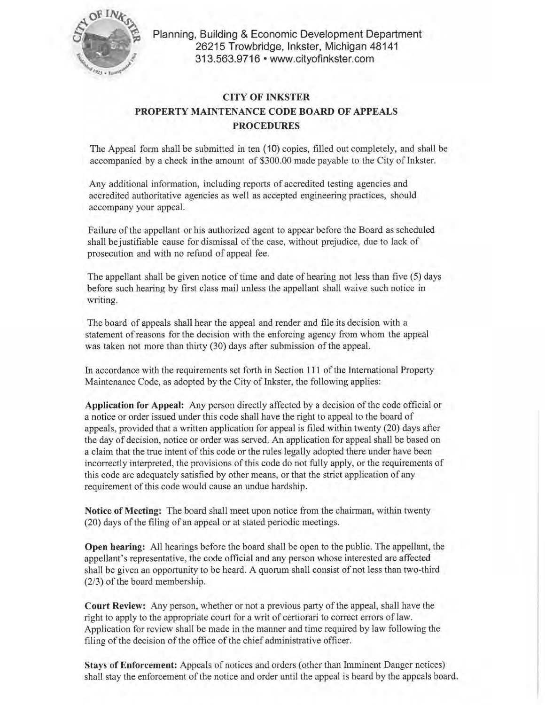

**Planning, Building & Economic Development Department 26215 Trowbridge, Inkster, Michigan 48141 313.563.9716 • www.cityofinkster.com** 

## **CITY OF INKSTER PROPERTY MAINTENANCE CODE BOARD OF APPEALS PROCEDURES**

The Appeal form shall be submitted in ten ( 10) copies, filled out completely, and shall be accompanied by a check in the amount of \$300.00 made payable to the City of Inkster.

Any additional information, including reports of accredited testing agencies and accredited authoritative agencies as well as accepted engineering practices, should accompany your appeal.

Failure of the appellant or his authorized agent to appear before the Board as scheduled shall be justifiable cause for dismissal of the case, without prejudice, due to lack of prosecution and with no refund of appeal fee.

The appellant shall be given notice of time and date of hearing not less than five (5) days before such hearing by first class mail unless the appellant shall waive such notice in writing.

The board of appeals shall hear the appeal and render and file its decision with a statement of reasons for the decision with the enforcing agency from whom the appeal was taken not more than thirty (30) days after submission of the appeal.

In accordance with the requirements set forth in Section **111** of the International Property Maintenance Code, as adopted by the City of Inkster, the following applies:

**Application for Appeal:** Any person directly affected by a decision of the code official or a notice or order issued under this code shall have the right to appeal to the board of appeals, provided that a written application for appeal is filed within twenty (20) days after the day of decision, notice or order was served. An application for appeal shall be based on a claim that the true intent of this code or the rules legally adopted there under have been incorrectly interpreted, the provisions of this code do not fully apply, or the requirements of this code are adequately satisfied by other means, or that the strict application of any requirement of this code would cause an undue hardship.

**Notice of Meeting:** The board shall meet upon notice from the chairman, within twenty (20) days of the filing of an appeal or at stated periodic meetings.

**Open hearing:** All hearings before the board shall be open to the public. The appellant, the appellant's representative, the code official and any person whose interested are affected shall be given an opportunity to be heard. A quorum shall consist of not less than two-third (2/3) of the board membership.

**Court Review:** Any person, whether or not a previous party of the appeal, shall have the right to apply to the appropriate court for a writ of certiorari to correct errors of Jaw. Application for review shall be made in the manner and time required by law following the filing of the decision of the office of the chief administrative officer.

**Stays of Enforcement:** Appeals of notices and orders (other than Imminent Danger notices) shall stay the enforcement of the notice and order until the appeal is heard by the appeals board.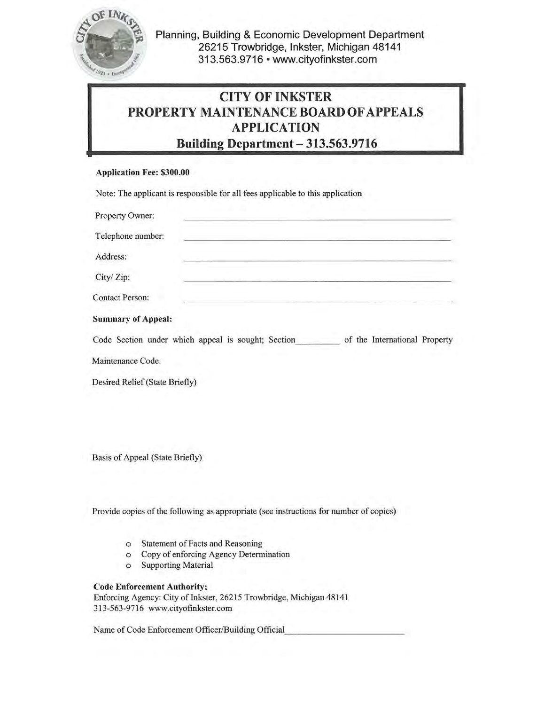

Planning, Building & Economic Development Department 26215 Trowbridge, Inkster, Michigan 48141 313.563.9716 • www.cityofinkster.com

## CITY OF INKSTER PROPERTY MAINTENANCE BOARD OF APPEALS APPLICATION Building Department - 313.563.9716

## Application Fee: \$300.00

Note: The applicant is responsible for all fees applicable to this application

Property Owner:

| Troporty Owner,                                    |                               |
|----------------------------------------------------|-------------------------------|
| Telephone number:                                  |                               |
| Address:                                           |                               |
| City/Zip:                                          |                               |
| <b>Contact Person:</b>                             |                               |
| <b>Summary of Appeal:</b>                          |                               |
| Code Section under which appeal is sought; Section | of the International Property |
| Maintenance Code.                                  |                               |
| Desired Relief (State Briefly)                     |                               |
|                                                    |                               |

Basis of Appeal (State Briefly)

Provide copies of the following as appropriate (see instructions for number of copies)

- o Statement of Facts and Reasoning
- o Copy of enforcing Agency Determination
- o Supporting Material

## Code Enforcement Authority;

Enforcing Agency: City of Inkster, 26215 Trowbridge, Michigan 48141 313-563-9716 www.cityofinkster.com

Name of Code Enforcement Officer/Building Official